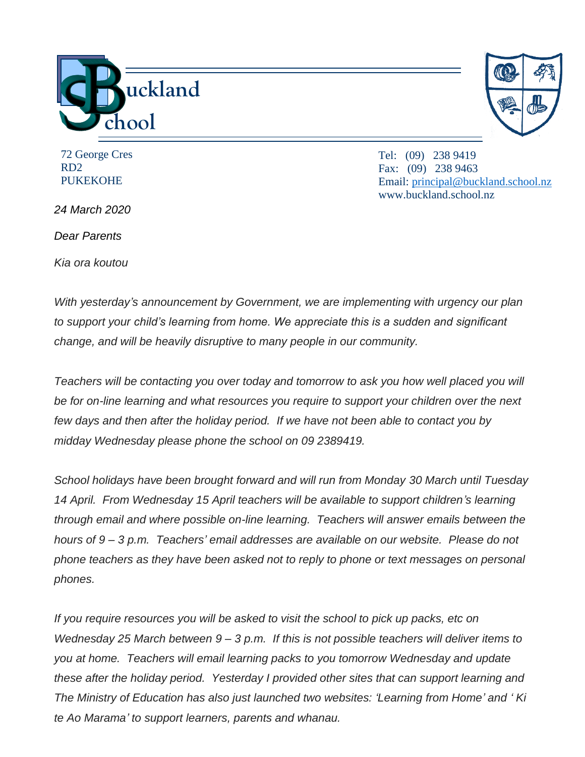

72 George Cres RD2 **PUKEKOHE** 

*24 March 2020*

*Dear Parents*

*Kia ora koutou*

Tel: (09) 238 9419 Fax: (09) 238 9463 Email: [principal@buckland.school.nz](mailto:principal@buckland.school.nz) www.buckland.school.nz

*With yesterday's announcement by Government, we are implementing with urgency our plan to support your child's learning from home. We appreciate this is a sudden and significant change, and will be heavily disruptive to many people in our community.*

*Teachers will be contacting you over today and tomorrow to ask you how well placed you will be for on-line learning and what resources you require to support your children over the next few days and then after the holiday period. If we have not been able to contact you by midday Wednesday please phone the school on 09 2389419.*

*School holidays have been brought forward and will run from Monday 30 March until Tuesday 14 April. From Wednesday 15 April teachers will be available to support children's learning through email and where possible on-line learning. Teachers will answer emails between the hours of 9 – 3 p.m. Teachers' email addresses are available on our website. Please do not phone teachers as they have been asked not to reply to phone or text messages on personal phones.*

*If you require resources you will be asked to visit the school to pick up packs, etc on Wednesday 25 March between 9 – 3 p.m. If this is not possible teachers will deliver items to you at home. Teachers will email learning packs to you tomorrow Wednesday and update these after the holiday period. Yesterday I provided other sites that can support learning and The Ministry of Education has also just launched two websites: 'Learning from Home' and ' Ki te Ao Marama' to support learners, parents and whanau.*